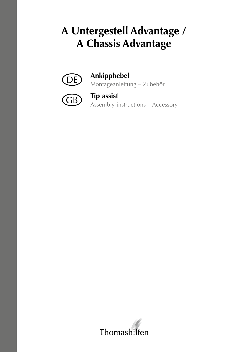# **A Untergestell Advantage / A Chassis Advantage**



## **Ankipphebel**

Montageanleitung – Zubehör



### **Tip assist**

Assembly instructions – Accessory

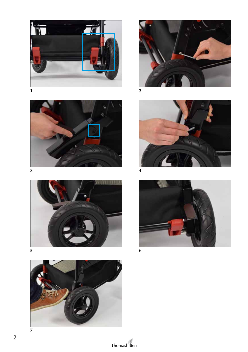















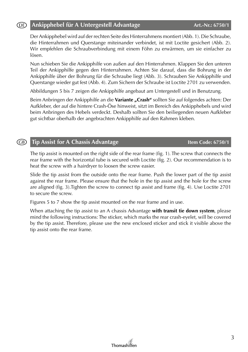### **Ankipphebel für A Untergestell Advantage Art.-Nr.: 6750/1** (DE)

Der Ankipphebel wird auf der rechten Seite des Hinterrahmens montiert (Abb. 1). Die Schraube, die Hinterrahmen und Querstange miteinander verbindet, ist mit Loctite gesichert (Abb. 2). Wir empfehlen die Schraubverbindung mit einem Föhn zu erwärmen, um sie einfacher zu lösen.

Nun schieben Sie die Ankipphilfe von außen auf den Hinterrahmen. Klappen Sie den unteren Teil der Ankipphilfe gegen den Hinterrahmen. Achten Sie darauf, dass die Bohrung in der Ankipphilfe über der Bohrung für die Schraube liegt (Abb. 3). Schrauben Sie Ankipphilfe und Querstange wieder gut fest (Abb. 4). Zum Sichern der Schraube ist Loctite 2701 zu verwenden.

Abbildungen 5 bis 7 zeigen die Ankipphilfe angebaut am Untergestell und in Benutzung.

Beim Anbringen der Ankipphilfe an die **Variante "Crash"** sollten Sie auf folgendes achten: Der Aufkleber, der auf die hintere Crash-Öse hinweist, sitzt im Bereich des Ankipphebels und wird beim Anbringen des Hebels verdeckt. Deshalb sollten Sie den beiliegenden neuen Aufkleber gut sichtbar oberhalb der angebrachten Ankipphilfe auf den Rahmen kleben.

#### **Tip Assist for A Chassis Advantage <b>Item Code: 6750/1 Item Code: 6750/1** (GB)

The tip assist is mounted on the right side of the rear frame (fig. 1). The screw that connects the rear frame with the horizontal tube is secured with Loctite (fig. 2). Our recommendation is to heat the screw with a hairdryer to loosen the screw easier.

Slide the tip assist from the outside onto the rear frame. Push the lower part of the tip assist against the rear frame. Please ensure that the hole in the tip assist and the hole for the screw are aligned (fig. 3).Tighten the screw to connect tip assist and frame (fig. 4). Use Loctite 2701 to secure the screw.

Figures 5 to 7 show the tip assist mounted on the rear frame and in use.

When attaching the tip assist to an A chassis Advantage **with transit tie down system**, please mind the following instructions: The sticker, which marks the rear crash-eyelet, will be covered by the tip assist. Therefore, please use the new enclosed sticker and stick it visible above the tip assist onto the rear frame.